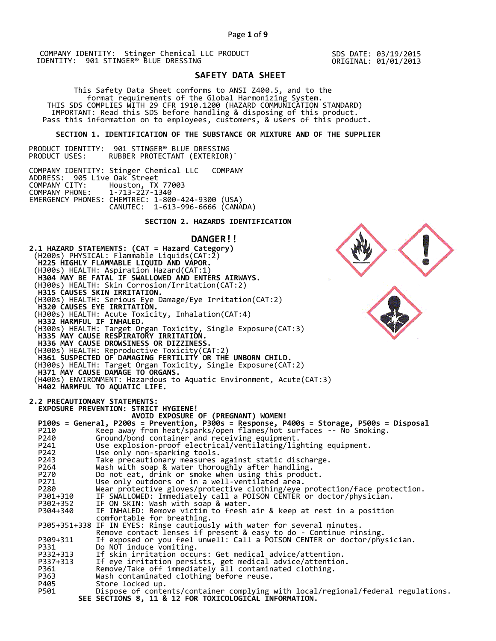SDS DATE: 03/19/2015 ORIGINAL: 01/01/2013

# **SAFETY DATA SHEET**

 This Safety Data Sheet conforms to ANSI Z400.5, and to the format requirements of the Global Harmonizing System. THIS SDS COMPLIES WITH 29 CFR 1910.1200 (HAZARD COMMUNICATION STANDARD) IMPORTANT: Read this SDS before handling & disposing of this product. Pass this information on to employees, customers, & users of this product.

## **SECTION 1. IDENTIFICATION OF THE SUBSTANCE OR MIXTURE AND OF THE SUPPLIER**

PRODUCT IDENTITY: 901 STINGER® BLUE DRESSING RUBBER PROTECTANT (EXTERIOR)`

COMPANY IDENTITY: Stinger Chemical LLC COMPANY ADDRESS: 905 Live Oak Street<br>COMPANY CITY: Houston, TX<br>COMPANY PHONE: 1-713-227-1 COMPANY CITY: Houston, TX 77003 COMPANY PHONE: 1-713-227-1340 EMERGENCY PHONES: CHEMTREC: 1-800-424-9300 (USA) CANUTEC: 1-613-996-6666 (CANADA)

# **SECTION 2. HAZARDS IDENTIFICATION**

# **DANGER!!**

**2.1 HAZARD STATEMENTS: (CAT = Hazard Category)** (H200s) PHYSICAL: Flammable Liquids(CAT:2)  **H225 HIGHLY FLAMMABLE LIQUID AND VAPOR.**  (H300s) HEALTH: Aspiration Hazard(CAT:1)  **H304 MAY BE FATAL IF SWALLOWED AND ENTERS AIRWAYS.**  (H300s) HEALTH: Skin Corrosion/Irritation(CAT:2)  **H315 CAUSES SKIN IRRITATION.**  (H300s) HEALTH: Serious Eye Damage/Eye Irritation(CAT:2)  **H320 CAUSES EYE IRRITATION.**  (H300s) HEALTH: Acute Toxicity, Inhalation(CAT:4)  **H332 HARMFUL IF INHALED.**  (H300s) HEALTH: Target Organ Toxicity, Single Exposure(CAT:3)  **H335 MAY CAUSE RESPIRATORY IRRITATION. H336 MAY CAUSE DROWSINESS OR DIZZINESS.**  (H300s) HEALTH: Reproductive Toxicity(CAT:2)  **H361 SUSPECTED OF DAMAGING FERTILITY OR THE UNBORN CHILD.**  (H300s) HEALTH: Target Organ Toxicity, Single Exposure(CAT:2)  **H371 MAY CAUSE DAMAGE TO ORGANS.**  (H400s) ENVIRONMENT: Hazardous to Aquatic Environment, Acute(CAT:3)  **H402 HARMFUL TO AQUATIC LIFE. 2.2 PRECAUTIONARY STATEMENTS: EXPOSURE PREVENTION: STRICT HYGIENE! AVOID EXPOSURE OF (PREGNANT) WOMEN! P100s = General, P200s = Prevention, P300s = Response, P400s = Storage, P500s = Disposal**  P210 Keep away from heat/sparks/open flames/hot surfaces -- No Smoking. P240 Ground/bond container and receiving equipment. P241 Use explosion-proof electrical/ventilating/lighting equipment. P242 Use only non-sparking tools. P243 Take precautionary measures against static discharge.<br>P264 Wash with soap & water thoroughly after handling. P264 Wash with soap & water thoroughly after handling. P270 Do not eat, drink or smoke when using this product. P271 Use only outdoors or in a well-ventilated area. P280 Wear protective gloves/protective clothing/eye protection/face protection. P301+310 IF SWALLOWED: Immediately call a POISON CENTER or doctor/physician. P302+352 IF ON SKIN: Wash with soap & water. P304+340 IF INHALED: Remove victim to fresh air & keep at rest in a position comfortable for breathing. P305+351+338 IF IN EYES: Rinse cautiously with water for several minutes. Remove contact lenses if present & easy to do - Continue rinsing. P309+311 If exposed or you feel unwell: Call a POISON CENTER or doctor/physician. P331 Do NOT induce vomiting. P332+313 If skin irritation occurs: Get medical advice/attention. P337+313 If eye irritation persists, get medical advice/attention. P361 Remove/Take off immediately all contaminated clothing. P361 Remove/Take off immediately all contamin<br>P363 Wash contaminated clothing before reuse.<br>P405 Store locked up. P405 Store locked up.<br>P501 Dispose of conte Dispose of contents/container complying with local/regional/federal regulations.  **SEE SECTIONS 8, 11 & 12 FOR TOXICOLOGICAL INFORMATION.**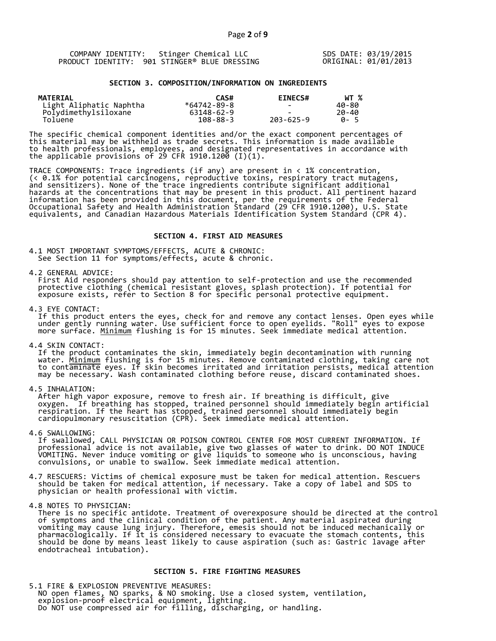| COMPANY IDENTITY: Stinger Chemical LLC       | SDS DATE: 03/19/2015 |
|----------------------------------------------|----------------------|
| PRODUCT IDENTITY: 901 STINGER® BLUE DRESSING | ORIGINAL: 01/01/2013 |

#### **SECTION 3. COMPOSITION/INFORMATION ON INGREDIENTS**

| MATERIAL                | CAS#           | <b>EINECS#</b>           | WT %        |
|-------------------------|----------------|--------------------------|-------------|
| Light Aliphatic Naphtha | *64742-89-8    | $\overline{\phantom{0}}$ | 40-80       |
| Polydimethylsiloxane    | 63148-62-9     |                          | 20-40       |
| Toluene                 | $108 - 88 - 3$ | $203 - 625 - 9$          | <b>A</b> -5 |

The specific chemical component identities and/or the exact component percentages of this material may be withheld as trade secrets. This information is made available to health professionals, employees, and designated representatives in accordance with the applicable provisions of 29 CFR 1910.1200̄ (I)(1).  $\overline{\phantom{a}}$ 

TRACE COMPONENTS: Trace ingredients (if any) are present in < 1% concentration, (< 0.1% for potential carcinogens, reproductive toxins, respiratory tract mutagens, and sensitizers). None of the trace ingredients contribute significant additional hazards at the concentrations that may be present in this product. All pertinent hazard information has been provided in this document, per the requirements of the Federal Occupational Safety and Health Administration Standard (29 CFR 1910.1200), U.S. State equivalents, and Canadian Hazardous Materials Identification System Standard (CPR 4).

### **SECTION 4. FIRST AID MEASURES**

4.1 MOST IMPORTANT SYMPTOMS/EFFECTS, ACUTE & CHRONIC: See Section 11 for symptoms/effects, acute & chronic.

4.2 GENERAL ADVICE:

 First Aid responders should pay attention to self-protection and use the recommended protective clothing (chemical resistant gloves, splash protection). If potential for exposure exists, refer to Section 8 for specific personal protective equipment.

4.3 EYE CONTACT:

 If this product enters the eyes, check for and remove any contact lenses. Open eyes while under gently running water. Use sufficient force to open eyelids. "Roll" eyes to expose more surface. <u>Minimum</u> flushing is for 15 minutes. Seek immediate medical attention.

4.4 SKIN CONTACT:

 If the product contaminates the skin, immediately begin decontamination with running water. <u>Minimum</u> flushing is for 15 minutes. Remove contaminated clothing, taking care not to contaminate eyes. If skin becomes irritated and irritation persists, medical attention may be necessary. Wash contaminated clothing before reuse, discard contaminated shoes.

4.5 INHALATION:

 After high vapor exposure, remove to fresh air. If breathing is difficult, give oxygen. If breathing has stopped, trained personnel should immediately begin artificial respiration. If the heart has stopped, trained personnel should immediately begin cardiopulmonary resuscitation (CPR). Seek immediate medical attention.

4.6 SWALLOWING:

 If swallowed, CALL PHYSICIAN OR POISON CONTROL CENTER FOR MOST CURRENT INFORMATION. If professional advice is not available, give two glasses of water to drink. DO NOT INDUCE VOMITING. Never induce vomiting or give liquids to someone who is unconscious, having convulsions, or unable to swallow. Seek immediate medical attention.

4.7 RESCUERS: Victims of chemical exposure must be taken for medical attention. Rescuers should be taken for medical attention, if necessary. Take a copy of label and SDS to physician or health professional with victim.

4.8 NOTES TO PHYSICIAN:

 There is no specific antidote. Treatment of overexposure should be directed at the control of symptoms and the clinical condition of the patient. Any material aspirated during vomiting may cause lung injury. Therefore, emesis should not be induced mechanically or pharmacologically. If it is considered necessary to evacuate the stomach contents, this should be done by means least likely to cause aspiration (such as: Gastric lavage after endotracheal intubation).

## **SECTION 5. FIRE FIGHTING MEASURES**

5.1 FIRE & EXPLOSION PREVENTIVE MEASURES: NO open flames, NO sparks, & NO smoking. Use a closed system, ventilation, explosion-proof electrical equipment, lighting. Do NOT use compressed air for filling, discharging, or handling.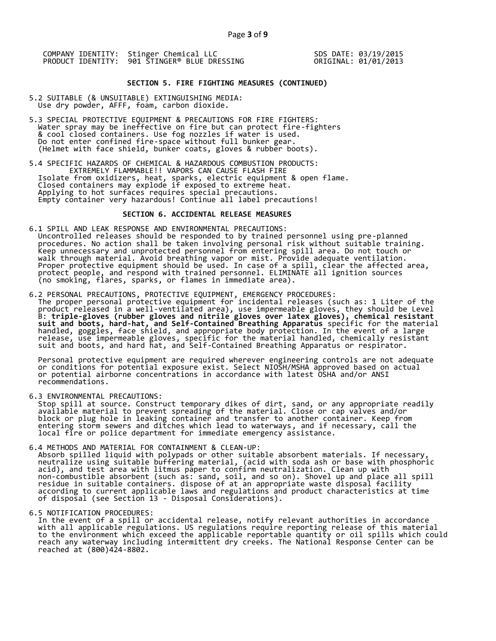SDS DATE: 03/19/2015 ORIGINAL: 01/01/2013

## **SECTION 5. FIRE FIGHTING MEASURES (CONTINUED)**

- 5.2 SUITABLE (& UNSUITABLE) EXTINGUISHING MEDIA: Use dry powder, AFFF, foam, carbon dioxide.
- 5.3 SPECIAL PROTECTIVE EQUIPMENT & PRECAUTIONS FOR FIRE FIGHTERS: Water spray may be ineffective on fire but can protect fire-fighters & cool closed containers. Use fog nozzles if water is used. Do not enter confined fire-space without full bunker gear. (Helmet with face shield, bunker coats, gloves & rubber boots).
- 5.4 SPECIFIC HAZARDS OF CHEMICAL & HAZARDOUS COMBUSTION PRODUCTS: EXTREMELY FLAMMABLE!! VAPORS CAN CAUSE FLASH FIRE Isolate from oxidizers, heat, sparks, electric equipment & open flame. Closed containers may explode if exposed to extreme heat. Applying to hot surfaces requires special precautions. Empty container very hazardous! Continue all label precautions!

#### **SECTION 6. ACCIDENTAL RELEASE MEASURES**

- 6.1 SPILL AND LEAK RESPONSE AND ENVIRONMENTAL PRECAUTIONS: Uncontrolled releases should be responded to by trained personnel using pre-planned procedures. No action shall be taken involving personal risk without suitable training. Keep unnecessary and unprotected personnel from entering spill area. Do not touch or walk through material. Avoid breathing vapor or mist. Provide adequate ventilation. Proper protective equipment should be used. In case of a spill, clear the affected area, protect people, and respond with trained personnel. ELIMINATE all ignition sources (no smoking, flares, sparks, or flames in immediate area).
- 6.2 PERSONAL PRECAUTIONS, PROTECTIVE EQUIPMENT, EMERGENCY PROCEDURES: The proper personal protective equipment for incidental releases (such as: 1 Liter of the product released in a well-ventilated area), use impermeable gloves, they should be Level B: **triple-gloves (rubber gloves and nitrile gloves over latex gloves), chemical resistant suit and boots, hard-hat, and Self-Contained Breathing Apparatus** specific for the material handled, goggles, face shield, and appropriate body protection. In the event of a large release, use impermeable gloves, specific for the material handled, chemically resistant suit and boots, and hard hat, and Self-Contained Breathing Apparatus or respirator.

 Personal protective equipment are required wherever engineering controls are not adequate or conditions for potential exposure exist. Select NIOSH/MSHA approved based on actual or potential airborne concentrations in accordance with latest OSHA and/or ANSI recommendations.

6.3 ENVIRONMENTAL PRECAUTIONS:

 Stop spill at source. Construct temporary dikes of dirt, sand, or any appropriate readily available material to prevent spreading of the material. Close or cap valves and/or block or plug hole in leaking container and transfer to another container. Keep from entering storm sewers and ditches which lead to waterways, and if necessary, call the local fire or police department for immediate emergency assistance.

- 6.4 METHODS AND MATERIAL FOR CONTAINMENT & CLEAN-UP: Absorb spilled liquid with polypads or other suitable absorbent materials. If necessary, neutralize using suitable buffering material, (acid with soda ash or base with phosphoric acid), and test area with litmus paper to confirm neutralization. Clean up with non-combustible absorbent (such as: sand, soil, and so on). Shovel up and place all spill residue in suitable containers. dispose of at an appropriate waste disposal facility according to current applicable laws and regulations and product characteristics at time of disposal (see Section 13 - Disposal Considerations).
- 

6.5 NOTIFICATION PROCEDURES:<br>In the event of a spill or accidental release, notify relevant authorities in accordance In the event of a spill or accidental release, notify relevant authorities in accordance with all applicable regulations. US regulations require reporting release of this material to the environment which exceed the applicable reportable quantity or oil spills which could reach any waterway including intermittent dry creeks. The National Response Center can be reached at (800)424-8802.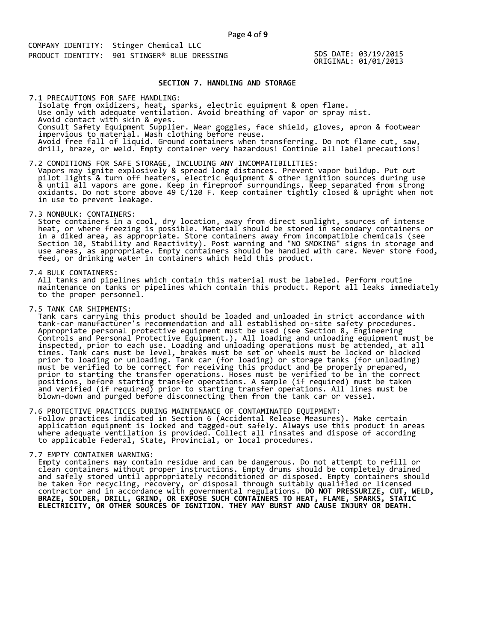SDS DATE: 03/19/2015 ORIGINAL: 01/01/2013

## **SECTION 7. HANDLING AND STORAGE**

 Isolate from oxidizers, heat, sparks, electric equipment & open flame. Use only with adequate ventilation. Avoid breathing of vapor or spray mist. Avoid contact with skin & eyes. Consult Safety Equipment Supplier. Wear goggles, face shield, gloves, apron & footwear impervious to material. Wash clothing before reuse. Avoid free fall of liquid. Ground containers when transferring. Do not flame cut, saw, drill, braze, or weld. Empty container very hazardous! Continue all label precautions! 7.1 PRECAUTIONS FOR SAFE HANDLING:

7.2 CONDITIONS FOR SAFE STORAGE, INCLUDING ANY INCOMPATIBILITIES: Vapors may ignite explosively & spread long distances. Prevent vapor buildup. Put out pilot lights & turn off heaters, electric equipment & other ignition sources during use & until all vapors are gone. Keep in fireproof surroundings. Keep separated from strong oxidants. Do not store above 49 C/120 F. Keep container tightly closed & upright when not in use to prevent leakage.

7.3 NONBULK: CONTAINERS:

 Store containers in a cool, dry location, away from direct sunlight, sources of intense heat, or where freezing is possible. Material should be stored in secondary containers or in a diked area, as appropriate. Store containers away from incompatible chemicals (see Section 10, Stability and Reactivity). Post warning and "NO SMOKING" signs in storage and use areas, as appropriate. Empty containers should be handled with care. Never store food, feed, or drinking water in containers which held this product.

7.4 BULK CONTAINERS:

 All tanks and pipelines which contain this material must be labeled. Perform routine maintenance on tanks or pipelines which contain this product. Report all leaks immediately to the proper personnel.

7.5 TANK CAR SHIPMENTS:

 Tank cars carrying this product should be loaded and unloaded in strict accordance with tank-car manufacturer's recommendation and all established on-site safety procedures. Appropriate personal protective equipment must be used (see Section 8, Engineering Controls and Personal Protective Equipment.). All loading and unloading equipment must be inspected, prior to each use. Loading and unloading operations must be attended, at all times. Tank cars must be level, brakes must be set or wheels must be locked or blocked prior to loading or unloading. Tank car (for loading) or storage tanks (for unloading) must be verified to be correct for receiving this product and be properly prepared, prior to starting the transfer operations. Hoses must be verified to be in the correct positions, before starting transfer operations. A sample (if required) must be taken and verified (if required) prior to starting transfer operations. All lines must be blown-down and purged before disconnecting them from the tank car or vessel.

7.6 PROTECTIVE PRACTICES DURING MAINTENANCE OF CONTAMINATED EQUIPMENT: Follow practices indicated in Section 6 (Accidental Release Measures). Make certain application equipment is locked and tagged-out safely. Always use this product in areas where adequate ventilation is provided. Collect all rinsates and dispose of according to applicable Federal, State, Provincial, or local procedures.

7.7 EMPTY CONTAINER WARNING:

 Empty containers may contain residue and can be dangerous. Do not attempt to refill or clean containers without proper instructions. Empty drums should be completely drained and safely stored until appropriately reconditioned or disposed. Empty containers should be taken for recycling, recovery, or disposal through suitably qualified or licensed contractor and in accordance with governmental regulations. **DO NOT PRESSURIZE, CUT, WELD, BRAZE, SOLDER, DRILL, GRIND, OR EXPOSE SUCH CONTAINERS TO HEAT, FLAME, SPARKS, STATIC ELECTRICITY, OR OTHER SOURCES OF IGNITION. THEY MAY BURST AND CAUSE INJURY OR DEATH.**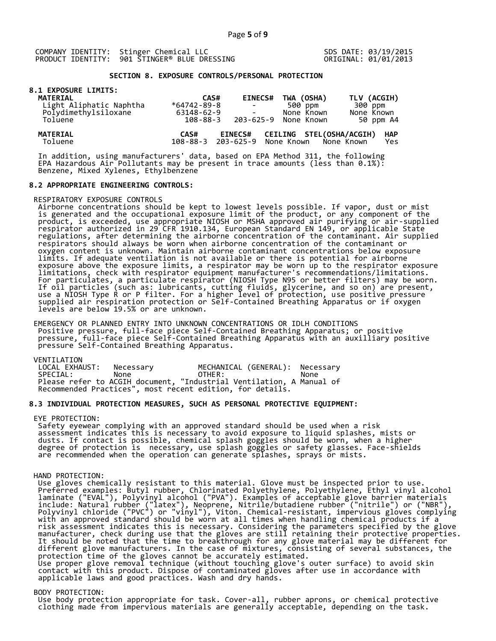SDS DATE: 03/19/2015 ORIGINAL: 01/01/2013

# **SECTION 8. EXPOSURE CONTROLS/PERSONAL PROTECTION**

|  |  | <b>8.1 EXPOSURE LIMITS:</b> |
|--|--|-----------------------------|
|  |  |                             |

| <b>MATERIAL</b>            | CAS#              | <b>EINECS#</b>                                  | TWA (OSHA)                      | TLV (ACGIH)                     |
|----------------------------|-------------------|-------------------------------------------------|---------------------------------|---------------------------------|
| Light Aliphatic Naphtha    | $*64742 - 89 - 8$ | <b>Contract Contract</b>                        | 500 ppm                         | 300 ppm                         |
| Polydimethylsiloxane       | 63148-62-9        |                                                 | None Known                      | None Known                      |
| Toluene                    | 108-88-3          |                                                 | 203-625-9 None Known            | 50 ppm A4                       |
| <b>MATERIAL</b><br>Toluene | CAS#              | <b>EINECS#</b><br>108-88-3 203-625-9 None Known | <b>CEILING STEL(OSHA/ACGIH)</b> | <b>HAP</b><br>None Known<br>Yes |
|                            |                   |                                                 |                                 |                                 |

 In addition, using manufacturers' data, based on EPA Method 311, the following EPA Hazardous Air Pollutants may be present in trace amounts (less than 0.1%): Benzene, Mixed Xylenes, Ethylbenzene

#### **8.2 APPROPRIATE ENGINEERING CONTROLS:**

RESPIRATORY EXPOSURE CONTROLS

 Airborne concentrations should be kept to lowest levels possible. If vapor, dust or mist is generated and the occupational exposure limit of the product, or any component of the product, is exceeded, use appropriate NIOSH or MSHA approved air purifying or air-supplied respirator authorized in 29 CFR 1910.134, European Standard EN 149, or applicable State regulations, after determining the airborne concentration of the contaminant. Air supplied respirators should always be worn when airborne concentration of the contaminant or oxygen content is unknown. Maintain airborne contaminant concentrations below exposure limits. If adequate ventilation is not available or there is potential for airborne exposure above the exposure limits, a respirator may be worn up to the respirator exposure limitations, check with respirator equipment manufacturer's recommendations/limitations. For particulates, a particulate respirator (NIOSH Type N95 or better filters) may be worn. If oil particles (such as: lubricants, cutting fluids, glycerine, and so on) are present, use a NIOSH Type R or P filter. For a higher level of protection, use positive pressure supplied air respiration protection or Self-Contained Breathing Apparatus or if oxygen levels are below 19.5% or are unknown.

 EMERGENCY OR PLANNED ENTRY INTO UNKNOWN CONCENTRATIONS OR IDLH CONDITIONS Positive pressure, full-face piece Self-Contained Breathing Apparatus; or positive pressure, full-face piece Self-Contained Breathing Apparatus with an auxilliary positive pressure Self-Contained Breathing Apparatus.

VENTILATION<br>LOCAL EXHAUST: Necessary MECHANICAL (GENERAL): Necessary SPECIAL: None OTHER: None Please refer to ACGIH document, "Industrial Ventilation, A Manual of Recommended Practices", most recent edition, for details.

# **8.3 INDIVIDUAL PROTECTION MEASURES, SUCH AS PERSONAL PROTECTIVE EQUIPMENT:**

#### EYE PROTECTION:

 Safety eyewear complying with an approved standard should be used when a risk assessment indicates this is necessary to avoid exposure to liquid splashes, mists or dusts. If contact is possible, chemical splash goggles should be worn, when a higher degree of protection is necessary, use splash goggles or safety glasses. Face-shields are recommended when the operation can generate splashes, sprays or mists.

#### HAND PROTECTION:

 Use gloves chemically resistant to this material. Glove must be inspected prior to use. Preferred examples: Butyl rubber, Chlorinated Polyethylene, Polyethylene, Ethyl vinyl alcohol laminate ("EVAL"), Polyvinyl alcohol ("PVA"). Examples of acceptable glove barrier materials include: Natural rubber ("latex"), Neoprene, Nitrile/butadiene rubber ("nitrile") or ("NBR"), Polyvinyl chloride ("PVC") or "vinyl"), Viton. Chemical-resistant, impervious gloves complying with an approved standard should be worn at all times when handling chemical products if a risk assessment indicates this is necessary. Considering the parameters specified by the glove manufacturer, check during use that the gloves are still retaining their protective properties. It should be noted that the time to breakthrough for any glove material may be different for different glove manufacturers. In the case of mixtures, consisting of several substances, the protection time of the gloves cannot be accurately estimated. Use proper glove removal technique (without touching glove's outer surface) to avoid skin contact with this product. Dispose of contaminated gloves after use in accordance with applicable laws and good practices. Wash and dry hands.

#### BODY PROTECTION:

 Use body protection appropriate for task. Cover-all, rubber aprons, or chemical protective clothing made from impervious materials are generally acceptable, depending on the task.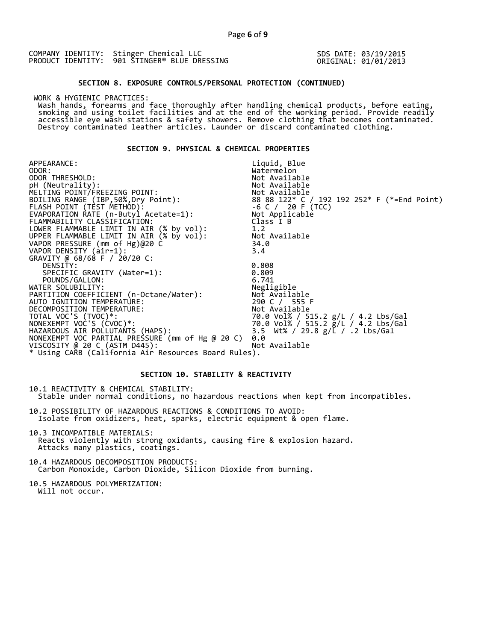SDS DATE: 03/19/2015 ORIGINAL: 01/01/2013

## **SECTION 8. EXPOSURE CONTROLS/PERSONAL PROTECTION (CONTINUED)**

WORK & HYGIENIC PRACTICES:

 Wash hands, forearms and face thoroughly after handling chemical products, before eating, smoking and using toilet facilities and at the end of the working period. Provide readily accessible eye wash stations & safety showers. Remove clothing that becomes contaminated. Destroy contaminated leather articles. Launder or discard contaminated clothing.

## **SECTION 9. PHYSICAL & CHEMICAL PROPERTIES**

APPEARANCE: ODOR:<br>ODOR THRESHOLD: Liquid, Blue Watermelon<br>Not Available ODOR THRESHOLD: Not Available pH (Neutrality): Not Available is a set of  $\mathbb N$ MELTING POINT/FREEZING POINT: Not Available  $8888122* C / 192192252* F (*=End Point)  
-6 C / 20 F (TCC)$ FLASH POINT (TEST METHOD): -6 C / 20 F (TCC) EVAPORATION RATE (n-Butyl Acetate=1): Not Applicable FLAMMABILITY CLASSIFICATION: Class I B LOWER FLAMMABLE LIMIT IN AIR (% by vol): 1.2 UPPER FLAMMABLE LIMIT IN AIR (% by vol): Not Available VAPOR PRESSURE (mm of Hg)@20 C 34.0 VAPOR DENSITY (air=1): 3.4 GRAVITY @ 68/68 F / 20/20 C: DENSITY: 0.808 SPECIFIC GRAVITY (Water=1): 0.809 POUNDS/GALLON: 6.741 WATER SOLUBILITY: Negligible PARTITION COEFFICIENT (n-Octane/Water): Not Available AUTO IGNITION TEMPERATURE: 290 C / 555 F DECOMPOSITION TEMPERATURE: Not Available TOTAL VOC'S (TVOC)\*: 70.0 Vol% / 515.2 g/L / 4.2 Lbs/Gal NONEXEMPT VOC'S (CVOC)\*: 70.0 Vol% / 515.2 g/L / 4.2 Lbs/Gal HAZARDOUS AIR POLLUTANTS (HAPS): 3.5 Wt% / 29.8 g/L / .2 Lbs/Gal NONEXEMPT VOC PARTIAL PRESSURE (mm of Hg @ 20 C) 0.0 VISCOSITY @ 20 C (ASTM D445): Not Available \* Using CARB (California Air Resources Board Rules).

# **SECTION 10. STABILITY & REACTIVITY**

10.1 REACTIVITY & CHEMICAL STABILITY: Stable under normal conditions, no hazardous reactions when kept from incompatibles.

10.2 POSSIBILITY OF HAZARDOUS REACTIONS & CONDITIONS TO AVOID: Isolate from oxidizers, heat, sparks, electric equipment & open flame.

10.3 INCOMPATIBLE MATERIALS: Reacts violently with strong oxidants, causing fire & explosion hazard. Attacks many plastics, coatings.

10.4 HAZARDOUS DECOMPOSITION PRODUCTS: Carbon Monoxide, Carbon Dioxide, Silicon Dioxide from burning.

10.5 HAZARDOUS POLYMERIZATION: Will not occur.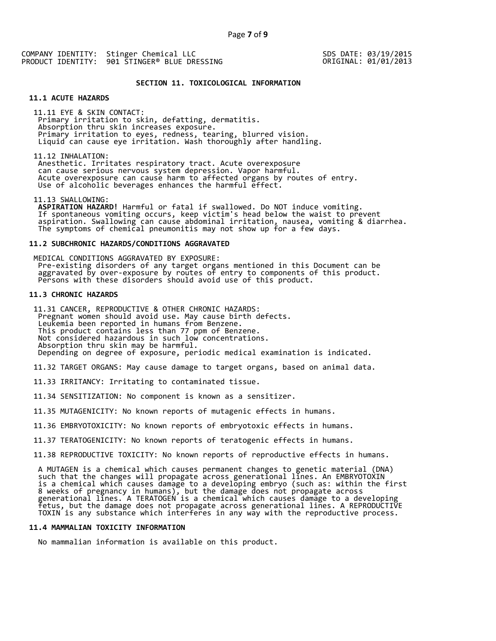SDS DATE: 03/19/2015 ORIGINAL: 01/01/2013

## **SECTION 11. TOXICOLOGICAL INFORMATION**

## **11.1 ACUTE HAZARDS**

 11.11 EYE & SKIN CONTACT: Primary irritation to skin, defatting, dermatitis. Absorption thru skin increases exposure. Primary irritation to eyes, redness, tearing, blurred vision. Liquid can cause eye irritation. Wash thoroughly after handling.

11.12 INHALATION:

 Anesthetic. Irritates respiratory tract. Acute overexposure can cause serious nervous system depression. Vapor harmful. Acute overexposure can cause harm to affected organs by routes of entry. Use of alcoholic beverages enhances the harmful effect.

11.13 SWALLOWING:

 **ASPIRATION HAZARD!** Harmful or fatal if swallowed. Do NOT induce vomiting. If spontaneous vomiting occurs, keep victim's head below the waist to prevent aspiration. Swallowing can cause abdominal irritation, nausea, vomiting & diarrhea. The symptoms of chemical pneumonitis may not show up for a few days.

## **11.2 SUBCHRONIC HAZARDS/CONDITIONS AGGRAVATED**

 MEDICAL CONDITIONS AGGRAVATED BY EXPOSURE: Pre-existing disorders of any target organs mentioned in this Document can be aggravated by over-exposure by routes of entry to components of this product. Persons with these disorders should avoid use of this product.

## **11.3 CHRONIC HAZARDS**

 11.31 CANCER, REPRODUCTIVE & OTHER CHRONIC HAZARDS: Pregnant women should avoid use. May cause birth defects. Leukemia been reported in humans from Benzene. This product contains less than 77 ppm of Benzene. Not considered hazardous in such low concentrations. Absorption thru skin may be harmful. Depending on degree of exposure, periodic medical examination is indicated.

11.32 TARGET ORGANS: May cause damage to target organs, based on animal data.

11.33 IRRITANCY: Irritating to contaminated tissue.

11.34 SENSITIZATION: No component is known as a sensitizer.

11.35 MUTAGENICITY: No known reports of mutagenic effects in humans.

11.36 EMBRYOTOXICITY: No known reports of embryotoxic effects in humans.

11.37 TERATOGENICITY: No known reports of teratogenic effects in humans.

11.38 REPRODUCTIVE TOXICITY: No known reports of reproductive effects in humans.

 A MUTAGEN is a chemical which causes permanent changes to genetic material (DNA) such that the changes will propagate across generational lines. An EMBRYOTOXIN is a chemical which causes damage to a developing embryo (such as: within the first 8 weeks of pregnancy in humans), but the damage does not propagate across generational lines. A TERATOGEN is a chemical which causes damage to a developing fetus, but the damage does not propagate across generational lines. A REPRODUCTIVE TOXIN is any substance which interferes in any way with the reproductive process.

#### **11.4 MAMMALIAN TOXICITY INFORMATION**

No mammalian information is available on this product.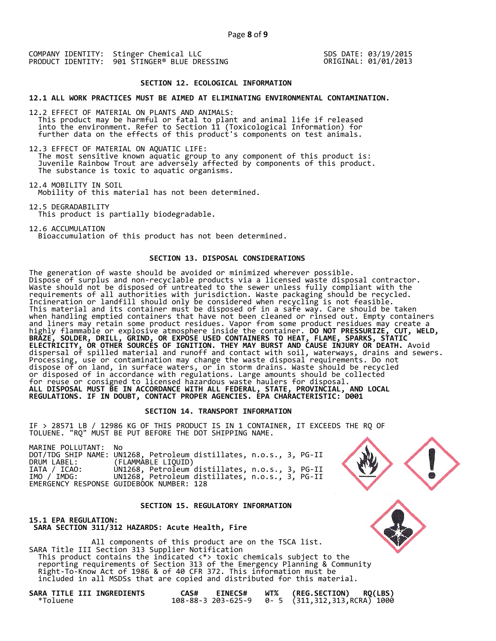SDS DATE: 03/19/2015 ORIGINAL: 01/01/2013

#### **SECTION 12. ECOLOGICAL INFORMATION**

**12.1 ALL WORK PRACTICES MUST BE AIMED AT ELIMINATING ENVIRONMENTAL CONTAMINATION.** 

12.2 EFFECT OF MATERIAL ON PLANTS AND ANIMALS: This product may be harmful or fatal to plant and animal life if released into the environment. Refer to Section 11 (Toxicological Information) for further data on the effects of this product's components on test animals.

12.3 EFFECT OF MATERIAL ON AQUATIC LIFE: The most sensitive known aquatic group to any component of this product is: Juvenile Rainbow Trout are adversely affected by components of this product. The substance is toxic to aquatic organisms.

12.4 MOBILITY IN SOIL Mobility of this material has not been determined.

12.5 DEGRADABILITY This product is partially biodegradable.

12.6 ACCUMULATION Bioaccumulation of this product has not been determined.

# **SECTION 13. DISPOSAL CONSIDERATIONS**

The generation of waste should be avoided or minimized wherever possible. Dispose of surplus and non-recyclable products via a licensed waste disposal contractor. Waste should not be disposed of untreated to the sewer unless fully compliant with the requirements of all authorities with jurisdiction. Waste packaging should be recycled. Incineration or landfill should only be considered when recycling is not feasible. This material and its container must be disposed of in a safe way. Care should be taken when handling emptied containers that have not been cleaned or rinsed out. Empty containers and liners may retain some product residues. Vapor from some product residues may create a highly flammable or explosive atmosphere inside the container. **DO NOT PRESSURIZE, CUT, WELD, BRAZE, SOLDER, DRILL, GRIND, OR EXPOSE USED CONTAINERS TO HEAT, FLAME, SPARKS, STATIC ELECTRICITY, OR OTHER SOURCES OF IGNITION. THEY MAY BURST AND CAUSE INJURY OR DEATH.** Avoid dispersal of spilled material and runoff and contact with soil, waterways, drains and sewers. Processing, use or contamination may change the waste disposal requirements. Do not dispose of on land, in surface waters, or in storm drains. Waste should be recycled or disposed of in accordance with regulations. Large amounts should be collected for reuse or consigned to licensed hazardous waste haulers for disposal. **ALL DISPOSAL MUST BE IN ACCORDANCE WITH ALL FEDERAL, STATE, PROVINCIAL, AND LOCAL REGULATIONS. IF IN DOUBT, CONTACT PROPER AGENCIES. EPA CHARACTERISTIC: D001** 

## **SECTION 14. TRANSPORT INFORMATION**

IF > 28571 LB / 12986 KG OF THIS PRODUCT IS IN 1 CONTAINER, IT EXCEEDS THE RQ OF TOLUENE. "RQ" MUST BE PUT BEFORE THE DOT SHIPPING NAME.

| MARINE POLLUTANT: No |                                                                    |
|----------------------|--------------------------------------------------------------------|
|                      | DOT/TDG SHIP NAME: UN1268, Petroleum distillates, n.o.s., 3, PG-II |
| DRUM LABEL:          | (FLAMMABLE LIQUID)                                                 |
| IATA / ICAO:         | UN1268, Petroleum distillates, n.o.s., 3, PG-II                    |
| IMO / IMDG:          | UN1268, Petroleum distillates, n.o.s., 3, PG-II                    |
|                      | EMERGENCY RESPONSE GUIDEBOOK NUMBER: 128                           |

#### **SECTION 15. REGULATORY INFORMATION**

**15.1 EPA REGULATION: SARA SECTION 311/312 HAZARDS: Acute Health, Fire** 

 All components of this product are on the TSCA list. SARA Title III Section 313 Supplier Notification This product contains the indicated <\*> toxic chemicals subject to the reporting requirements of Section 313 of the Emergency Planning & Community Right-To-Know Act of 1986 & of 40 CFR 372. This information must be included in all MSDSs that are copied and distributed for this material.

| SARA TITLE III INGREDIENTS |  |  |
|----------------------------|--|--|
| *Toluene                   |  |  |